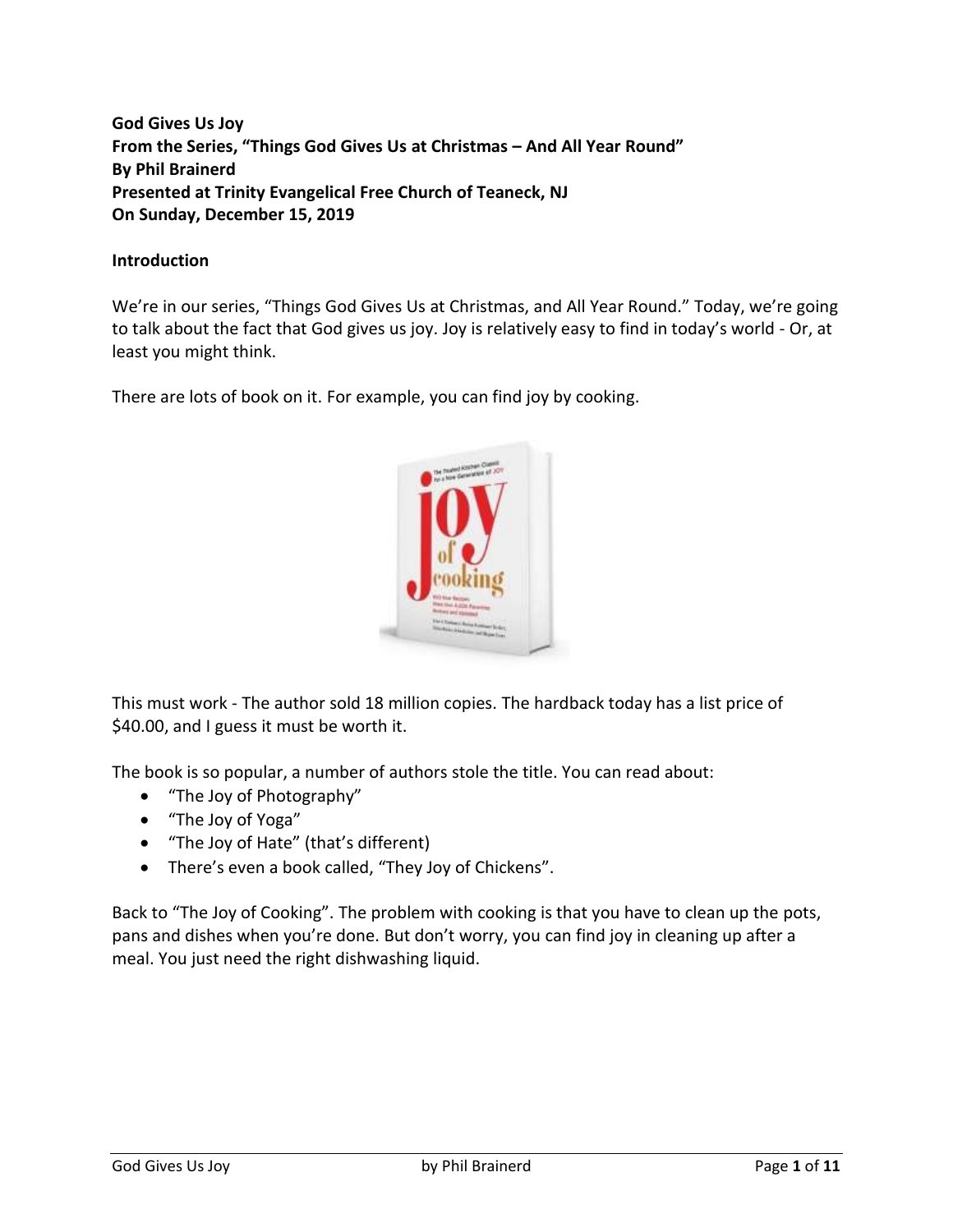**God Gives Us Joy From the Series, "Things God Gives Us at Christmas – And All Year Round" By Phil Brainerd Presented at Trinity Evangelical Free Church of Teaneck, NJ On Sunday, December 15, 2019**

#### **Introduction**

We're in our series, "Things God Gives Us at Christmas, and All Year Round." Today, we're going to talk about the fact that God gives us joy. Joy is relatively easy to find in today's world - Or, at least you might think.

There are lots of book on it. For example, you can find joy by cooking.



This must work - The author sold 18 million copies. The hardback today has a list price of \$40.00, and I guess it must be worth it.

The book is so popular, a number of authors stole the title. You can read about:

- "The Joy of Photography"
- "The Joy of Yoga"
- "The Joy of Hate" (that's different)
- There's even a book called, "They Joy of Chickens".

Back to "The Joy of Cooking". The problem with cooking is that you have to clean up the pots, pans and dishes when you're done. But don't worry, you can find joy in cleaning up after a meal. You just need the right dishwashing liquid.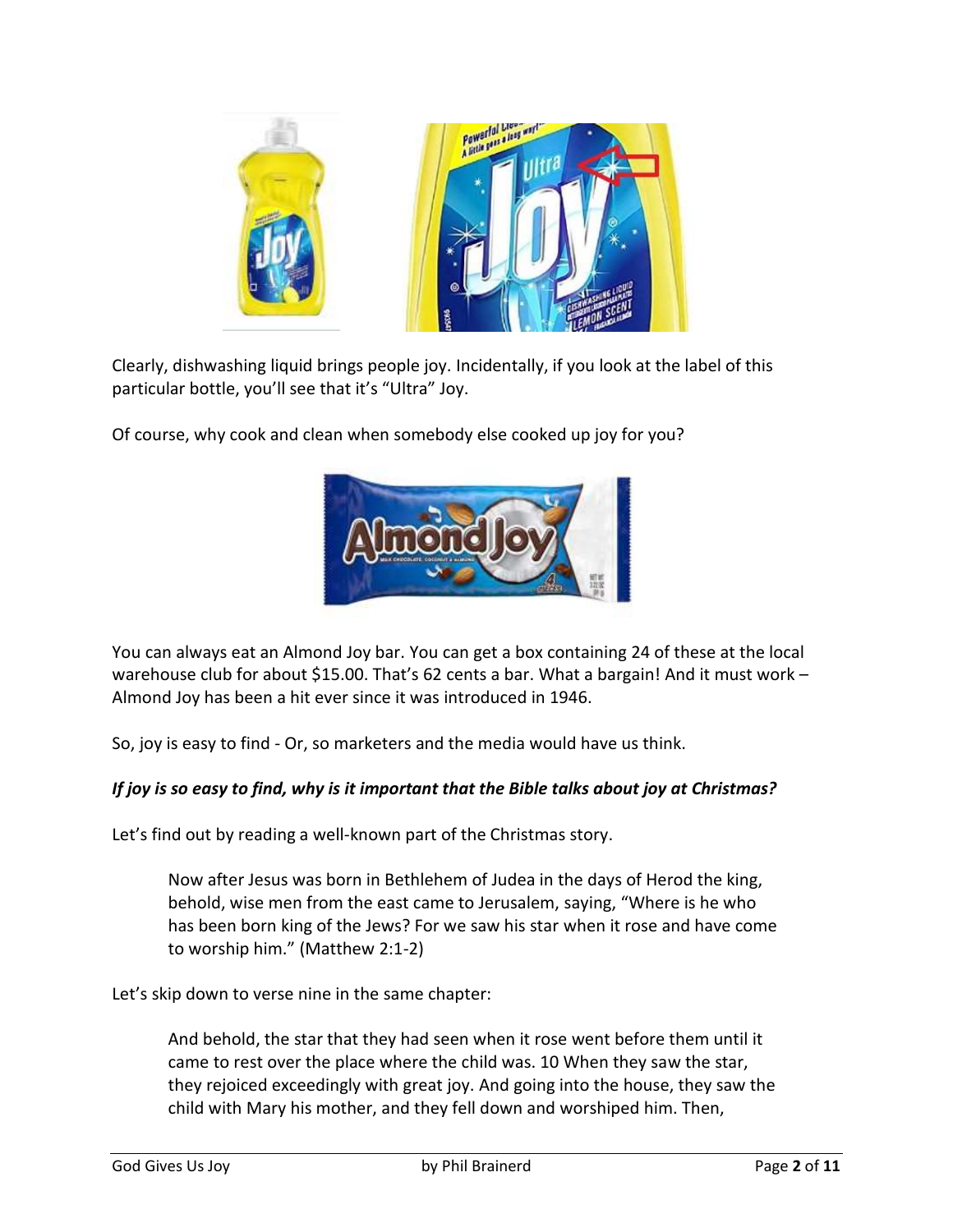

Clearly, dishwashing liquid brings people joy. Incidentally, if you look at the label of this particular bottle, you'll see that it's "Ultra" Joy.

Of course, why cook and clean when somebody else cooked up joy for you?



You can always eat an Almond Joy bar. You can get a box containing 24 of these at the local warehouse club for about \$15.00. That's 62 cents a bar. What a bargain! And it must work -Almond Joy has been a hit ever since it was introduced in 1946.

So, joy is easy to find - Or, so marketers and the media would have us think.

## *If joy is so easy to find, why is it important that the Bible talks about joy at Christmas?*

Let's find out by reading a well-known part of the Christmas story.

Now after Jesus was born in Bethlehem of Judea in the days of Herod the king, behold, wise men from the east came to Jerusalem, saying, "Where is he who has been born king of the Jews? For we saw his star when it rose and have come to worship him." (Matthew 2:1-2)

Let's skip down to verse nine in the same chapter:

And behold, the star that they had seen when it rose went before them until it came to rest over the place where the child was. 10 When they saw the star, they rejoiced exceedingly with great joy. And going into the house, they saw the child with Mary his mother, and they fell down and worshiped him. Then,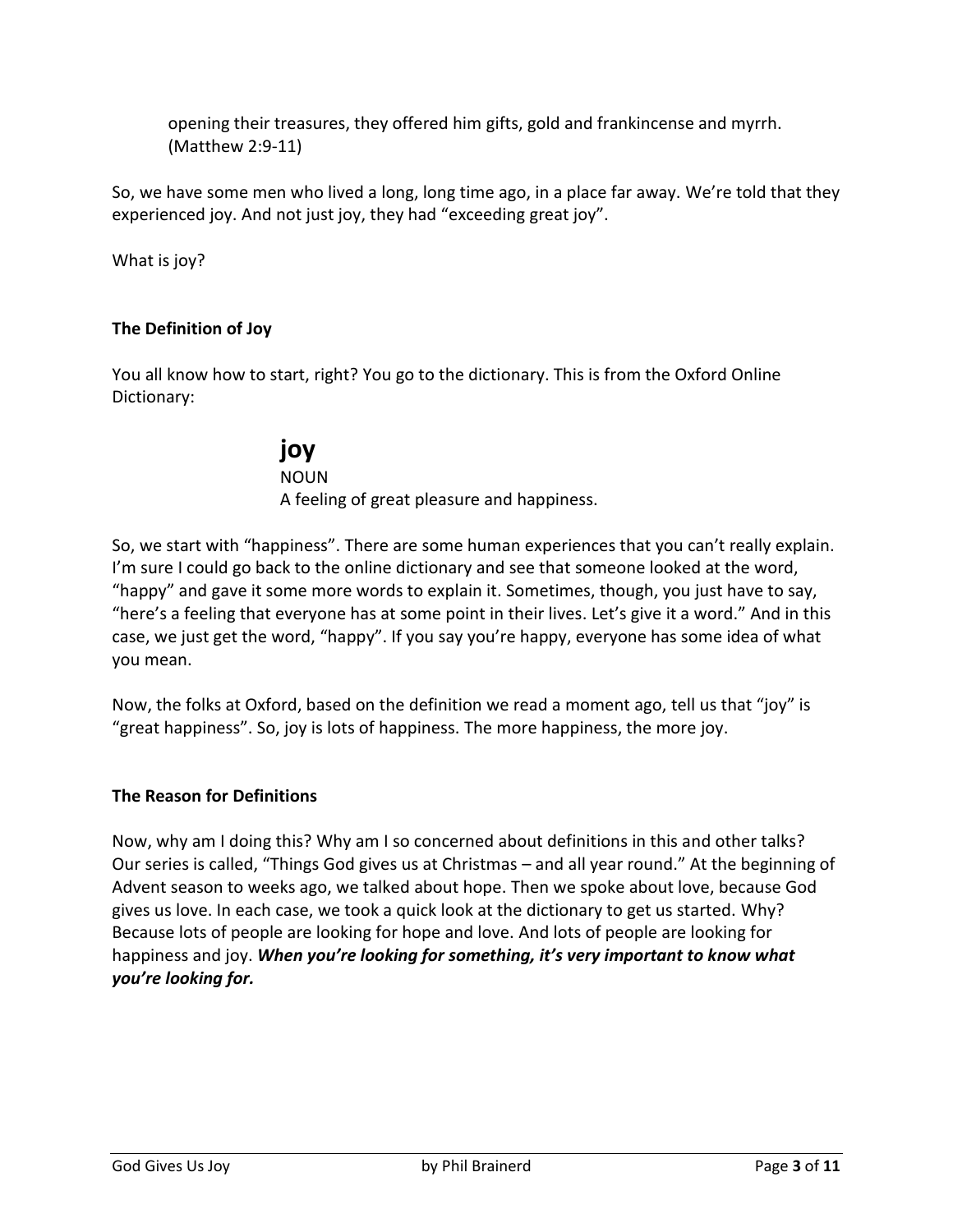opening their treasures, they offered him gifts, gold and frankincense and myrrh. (Matthew 2:9-11)

So, we have some men who lived a long, long time ago, in a place far away. We're told that they experienced joy. And not just joy, they had "exceeding great joy".

What is joy?

#### **The Definition of Joy**

You all know how to start, right? You go to the dictionary. This is from the Oxford Online Dictionary:

# **joy**

NOUN A feeling of great pleasure and happiness.

So, we start with "happiness". There are some human experiences that you can't really explain. I'm sure I could go back to the online dictionary and see that someone looked at the word, "happy" and gave it some more words to explain it. Sometimes, though, you just have to say, "here's a feeling that everyone has at some point in their lives. Let's give it a word." And in this case, we just get the word, "happy". If you say you're happy, everyone has some idea of what you mean.

Now, the folks at Oxford, based on the definition we read a moment ago, tell us that "joy" is "great happiness". So, joy is lots of happiness. The more happiness, the more joy.

#### **The Reason for Definitions**

Now, why am I doing this? Why am I so concerned about definitions in this and other talks? Our series is called, "Things God gives us at Christmas – and all year round." At the beginning of Advent season to weeks ago, we talked about hope. Then we spoke about love, because God gives us love. In each case, we took a quick look at the dictionary to get us started. Why? Because lots of people are looking for hope and love. And lots of people are looking for happiness and joy. *When you're looking for something, it's very important to know what you're looking for.*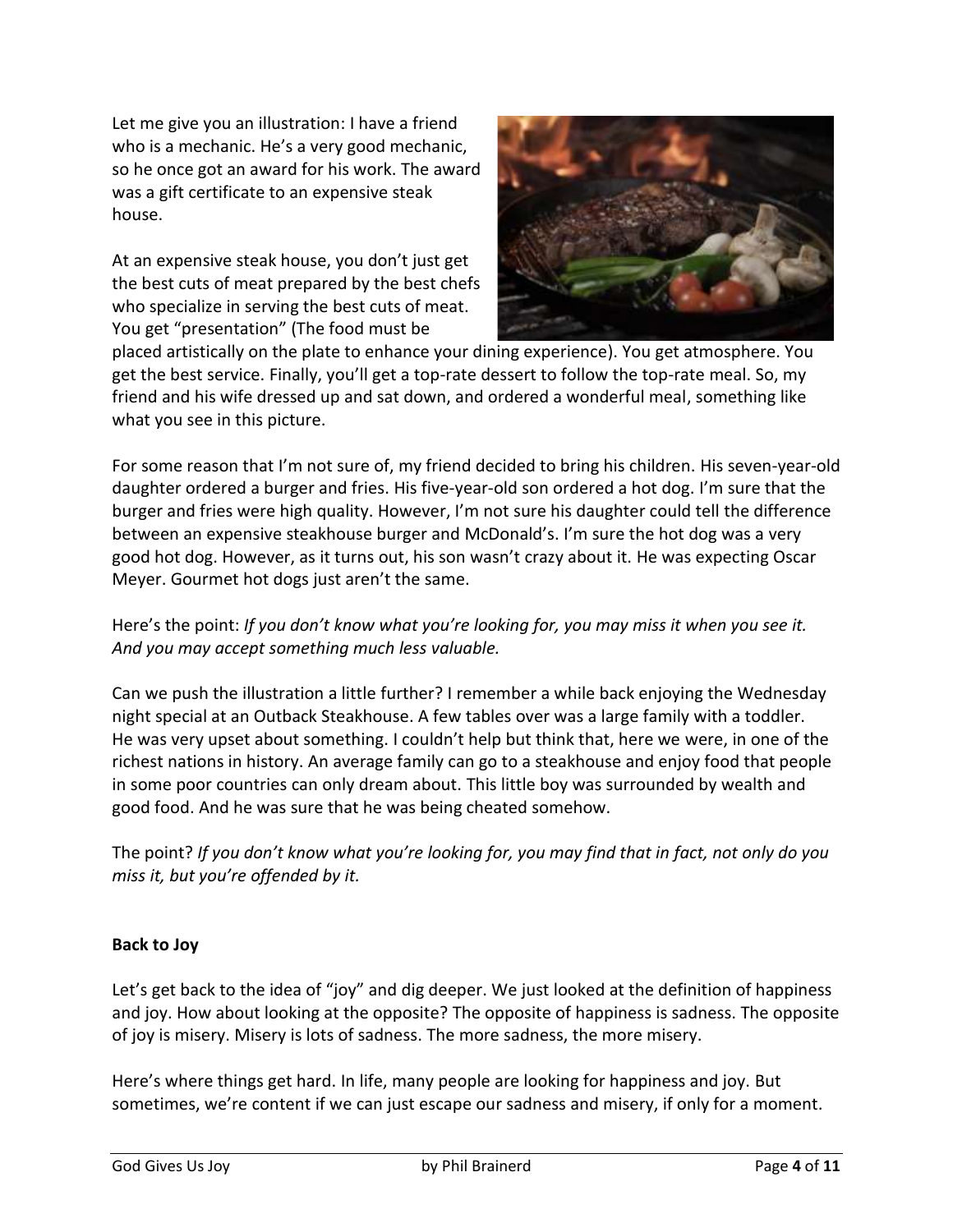Let me give you an illustration: I have a friend who is a mechanic. He's a very good mechanic, so he once got an award for his work. The award was a gift certificate to an expensive steak house.

At an expensive steak house, you don't just get the best cuts of meat prepared by the best chefs who specialize in serving the best cuts of meat. You get "presentation" (The food must be



placed artistically on the plate to enhance your dining experience). You get atmosphere. You get the best service. Finally, you'll get a top-rate dessert to follow the top-rate meal. So, my friend and his wife dressed up and sat down, and ordered a wonderful meal, something like what you see in this picture.

For some reason that I'm not sure of, my friend decided to bring his children. His seven-year-old daughter ordered a burger and fries. His five-year-old son ordered a hot dog. I'm sure that the burger and fries were high quality. However, I'm not sure his daughter could tell the difference between an expensive steakhouse burger and McDonald's. I'm sure the hot dog was a very good hot dog. However, as it turns out, his son wasn't crazy about it. He was expecting Oscar Meyer. Gourmet hot dogs just aren't the same.

## Here's the point: *If you don't know what you're looking for, you may miss it when you see it. And you may accept something much less valuable.*

Can we push the illustration a little further? I remember a while back enjoying the Wednesday night special at an Outback Steakhouse. A few tables over was a large family with a toddler. He was very upset about something. I couldn't help but think that, here we were, in one of the richest nations in history. An average family can go to a steakhouse and enjoy food that people in some poor countries can only dream about. This little boy was surrounded by wealth and good food. And he was sure that he was being cheated somehow.

The point? *If you don't know what you're looking for, you may find that in fact, not only do you miss it, but you're offended by it.*

## **Back to Joy**

Let's get back to the idea of "joy" and dig deeper. We just looked at the definition of happiness and joy. How about looking at the opposite? The opposite of happiness is sadness. The opposite of joy is misery. Misery is lots of sadness. The more sadness, the more misery.

Here's where things get hard. In life, many people are looking for happiness and joy. But sometimes, we're content if we can just escape our sadness and misery, if only for a moment.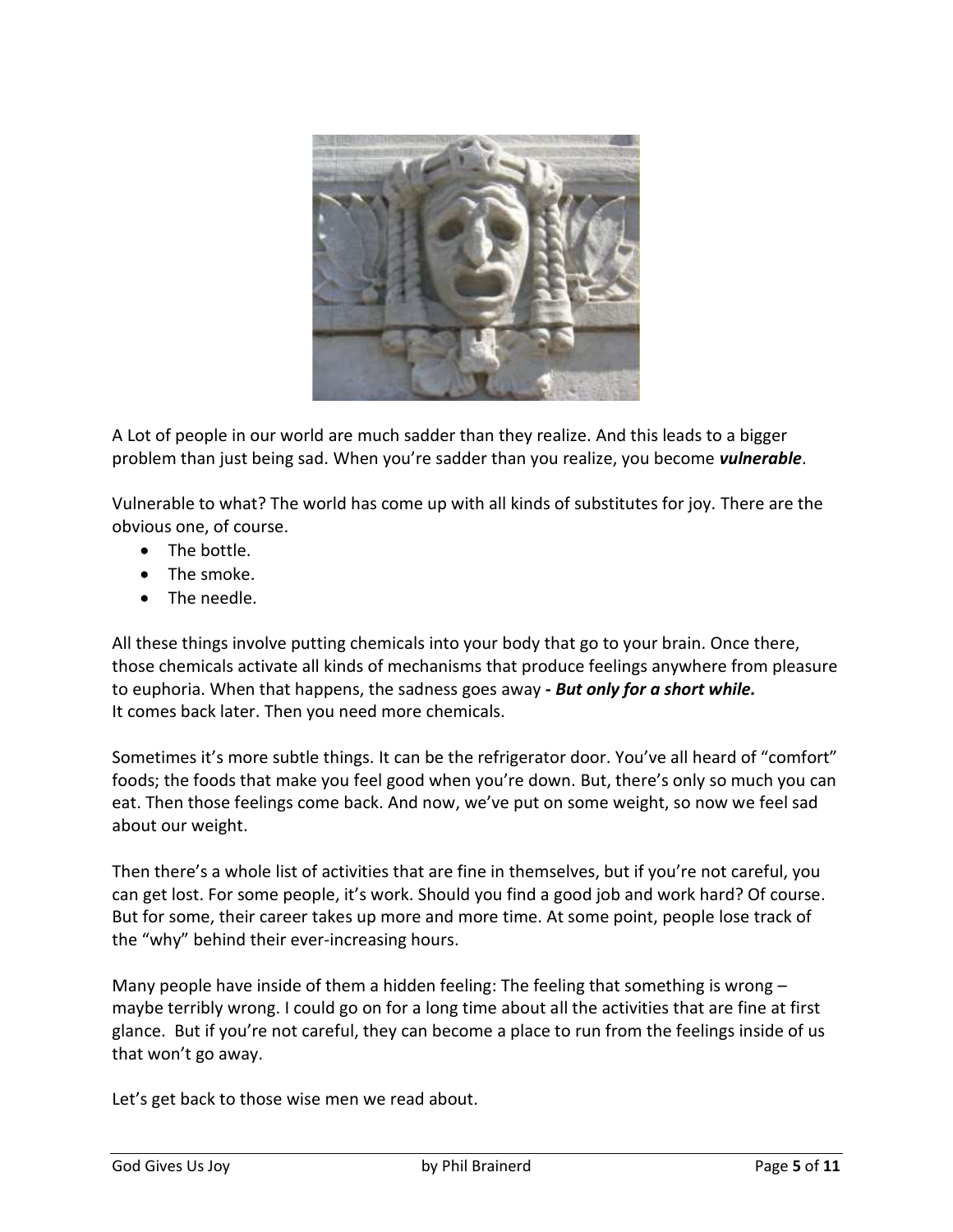

A Lot of people in our world are much sadder than they realize. And this leads to a bigger problem than just being sad. When you're sadder than you realize, you become *vulnerable*.

Vulnerable to what? The world has come up with all kinds of substitutes for joy. There are the obvious one, of course.

- The bottle.
- The smoke.
- The needle.

All these things involve putting chemicals into your body that go to your brain. Once there, those chemicals activate all kinds of mechanisms that produce feelings anywhere from pleasure to euphoria. When that happens, the sadness goes away *- But only for a short while.* It comes back later. Then you need more chemicals.

Sometimes it's more subtle things. It can be the refrigerator door. You've all heard of "comfort" foods; the foods that make you feel good when you're down. But, there's only so much you can eat. Then those feelings come back. And now, we've put on some weight, so now we feel sad about our weight.

Then there's a whole list of activities that are fine in themselves, but if you're not careful, you can get lost. For some people, it's work. Should you find a good job and work hard? Of course. But for some, their career takes up more and more time. At some point, people lose track of the "why" behind their ever-increasing hours.

Many people have inside of them a hidden feeling: The feeling that something is wrong  $$ maybe terribly wrong. I could go on for a long time about all the activities that are fine at first glance. But if you're not careful, they can become a place to run from the feelings inside of us that won't go away.

Let's get back to those wise men we read about.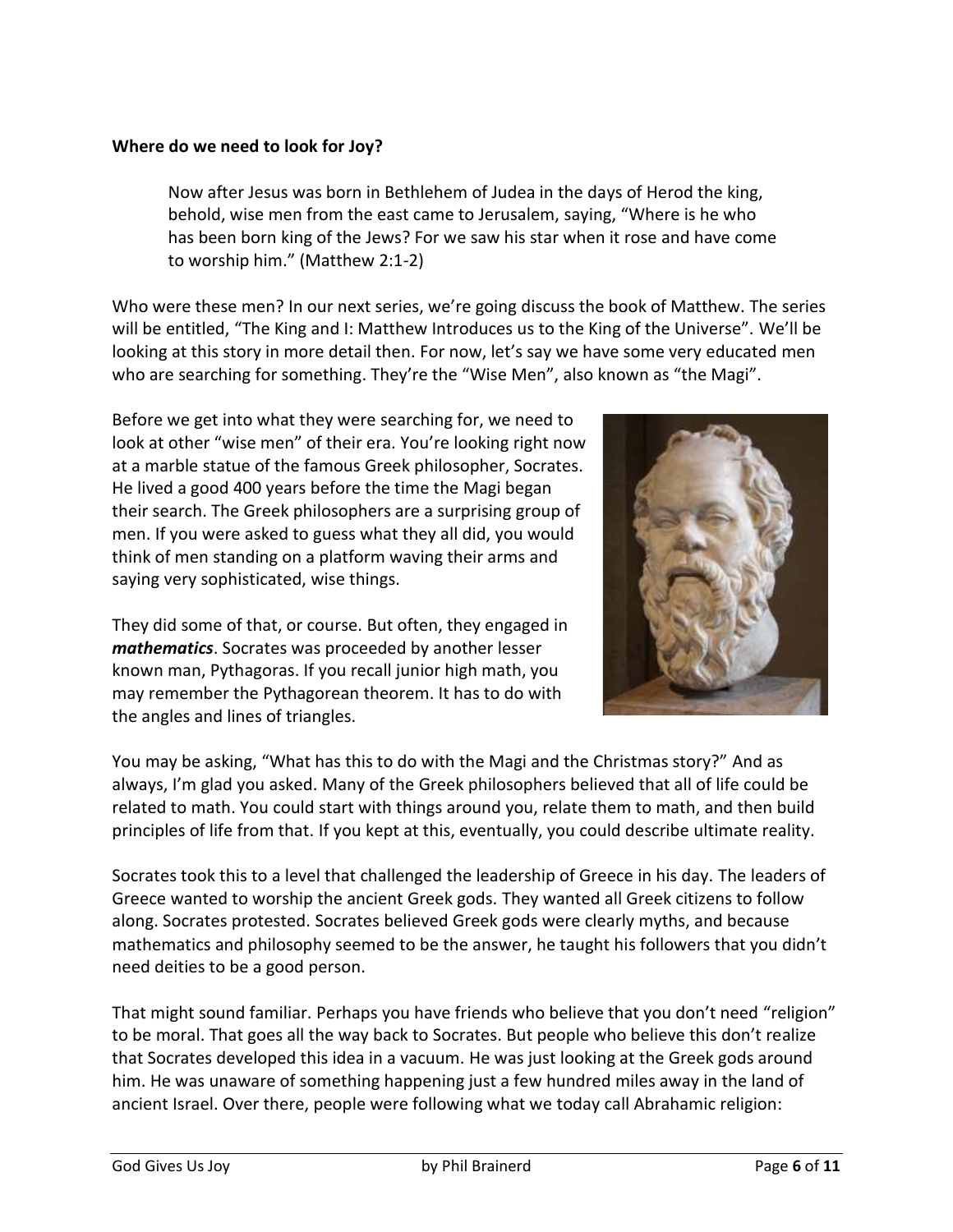#### **Where do we need to look for Joy?**

Now after Jesus was born in Bethlehem of Judea in the days of Herod the king, behold, wise men from the east came to Jerusalem, saying, "Where is he who has been born king of the Jews? For we saw his star when it rose and have come to worship him." (Matthew 2:1-2)

Who were these men? In our next series, we're going discuss the book of Matthew. The series will be entitled, "The King and I: Matthew Introduces us to the King of the Universe". We'll be looking at this story in more detail then. For now, let's say we have some very educated men who are searching for something. They're the "Wise Men", also known as "the Magi".

Before we get into what they were searching for, we need to look at other "wise men" of their era. You're looking right now at a marble statue of the famous Greek philosopher, Socrates. He lived a good 400 years before the time the Magi began their search. The Greek philosophers are a surprising group of men. If you were asked to guess what they all did, you would think of men standing on a platform waving their arms and saying very sophisticated, wise things.

They did some of that, or course. But often, they engaged in *mathematics*. Socrates was proceeded by another lesser known man, Pythagoras. If you recall junior high math, you may remember the Pythagorean theorem. It has to do with the angles and lines of triangles.



You may be asking, "What has this to do with the Magi and the Christmas story?" And as always, I'm glad you asked. Many of the Greek philosophers believed that all of life could be related to math. You could start with things around you, relate them to math, and then build principles of life from that. If you kept at this, eventually, you could describe ultimate reality.

Socrates took this to a level that challenged the leadership of Greece in his day. The leaders of Greece wanted to worship the ancient Greek gods. They wanted all Greek citizens to follow along. Socrates protested. Socrates believed Greek gods were clearly myths, and because mathematics and philosophy seemed to be the answer, he taught his followers that you didn't need deities to be a good person.

That might sound familiar. Perhaps you have friends who believe that you don't need "religion" to be moral. That goes all the way back to Socrates. But people who believe this don't realize that Socrates developed this idea in a vacuum. He was just looking at the Greek gods around him. He was unaware of something happening just a few hundred miles away in the land of ancient Israel. Over there, people were following what we today call Abrahamic religion: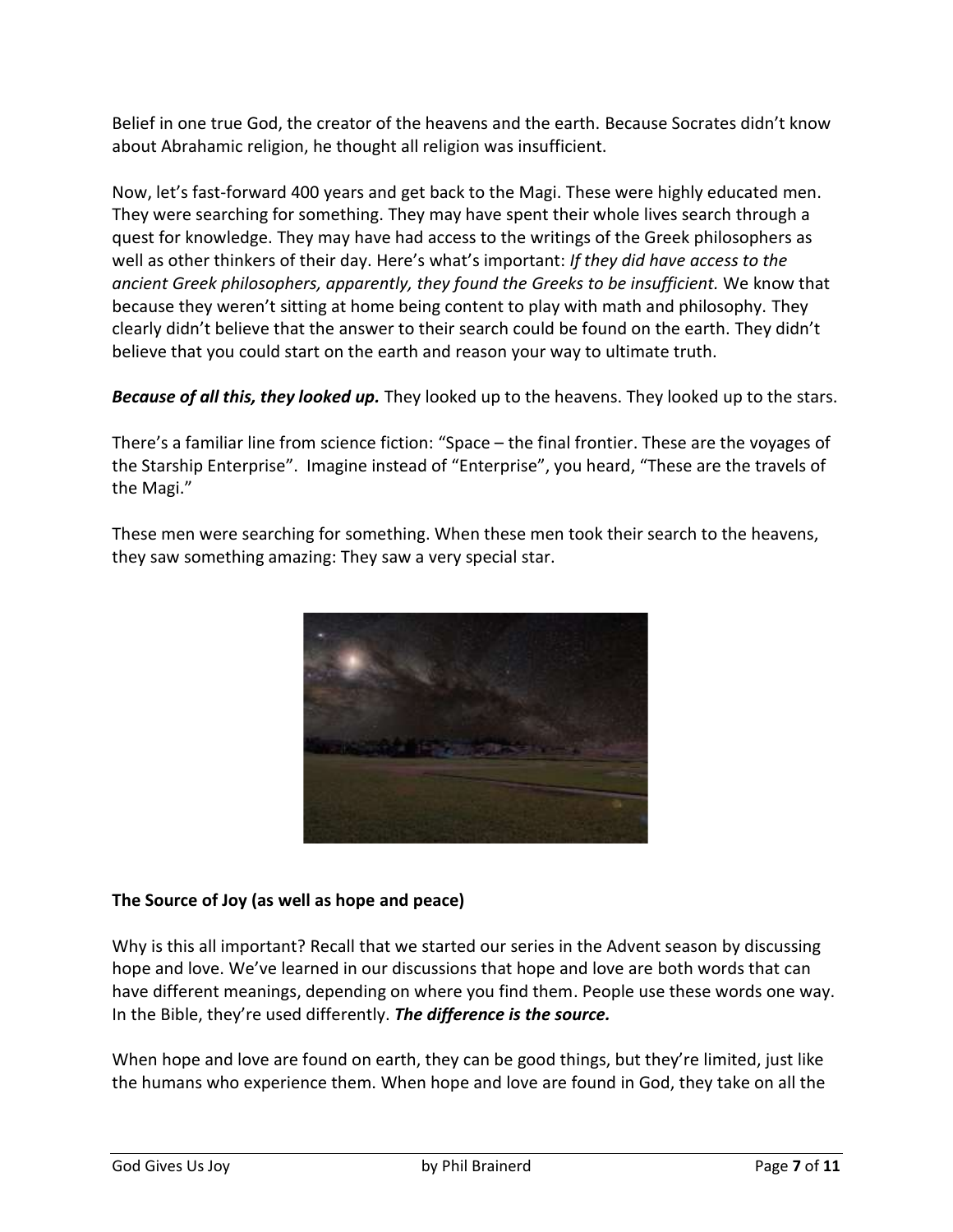Belief in one true God, the creator of the heavens and the earth. Because Socrates didn't know about Abrahamic religion, he thought all religion was insufficient.

Now, let's fast-forward 400 years and get back to the Magi. These were highly educated men. They were searching for something. They may have spent their whole lives search through a quest for knowledge. They may have had access to the writings of the Greek philosophers as well as other thinkers of their day. Here's what's important: *If they did have access to the ancient Greek philosophers, apparently, they found the Greeks to be insufficient.* We know that because they weren't sitting at home being content to play with math and philosophy. They clearly didn't believe that the answer to their search could be found on the earth. They didn't believe that you could start on the earth and reason your way to ultimate truth.

*Because of all this, they looked up.* They looked up to the heavens. They looked up to the stars.

There's a familiar line from science fiction: "Space – the final frontier. These are the voyages of the Starship Enterprise". Imagine instead of "Enterprise", you heard, "These are the travels of the Magi."

These men were searching for something. When these men took their search to the heavens, they saw something amazing: They saw a very special star.



## **The Source of Joy (as well as hope and peace)**

Why is this all important? Recall that we started our series in the Advent season by discussing hope and love. We've learned in our discussions that hope and love are both words that can have different meanings, depending on where you find them. People use these words one way. In the Bible, they're used differently. *The difference is the source.*

When hope and love are found on earth, they can be good things, but they're limited, just like the humans who experience them. When hope and love are found in God, they take on all the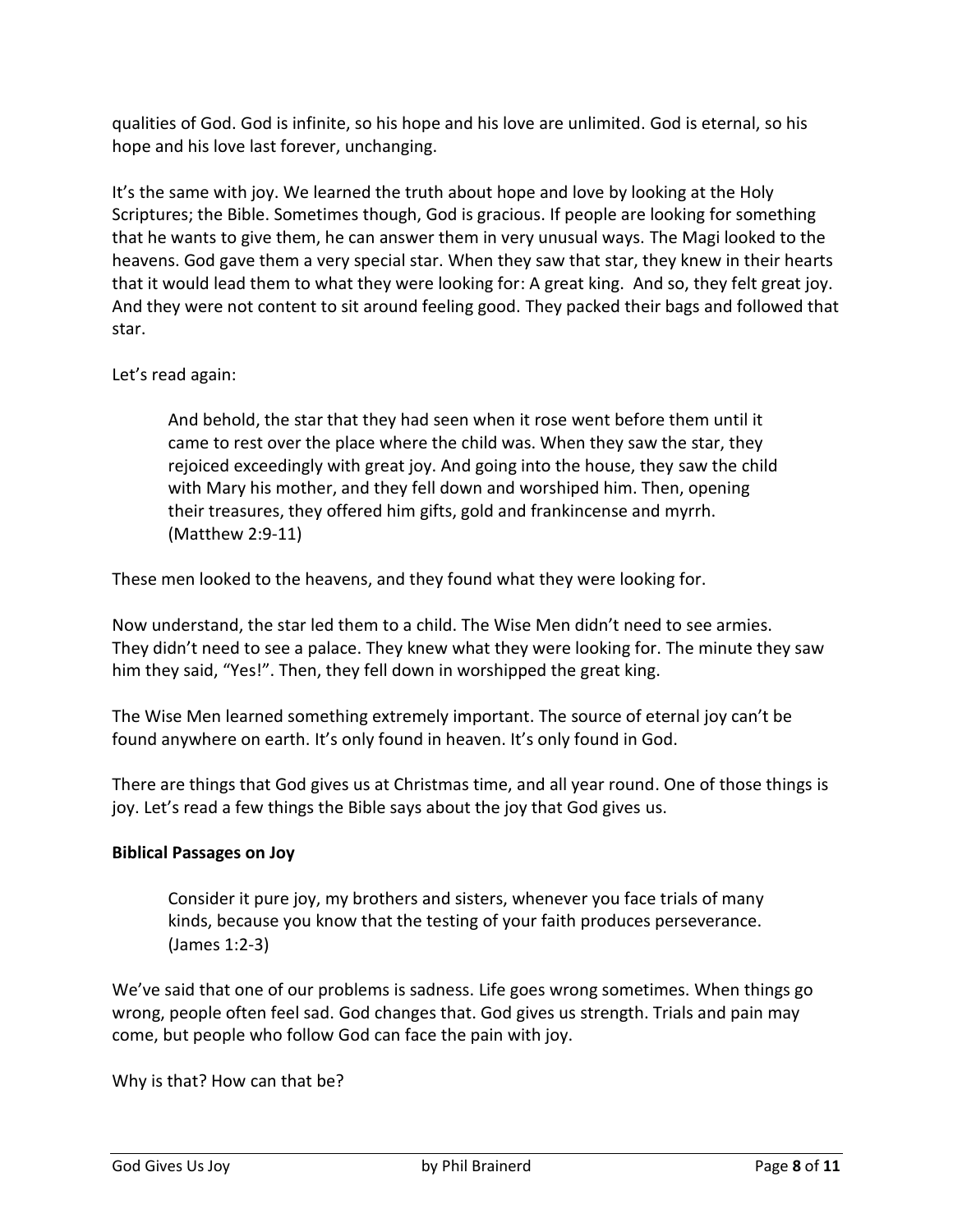qualities of God. God is infinite, so his hope and his love are unlimited. God is eternal, so his hope and his love last forever, unchanging.

It's the same with joy. We learned the truth about hope and love by looking at the Holy Scriptures; the Bible. Sometimes though, God is gracious. If people are looking for something that he wants to give them, he can answer them in very unusual ways. The Magi looked to the heavens. God gave them a very special star. When they saw that star, they knew in their hearts that it would lead them to what they were looking for: A great king. And so, they felt great joy. And they were not content to sit around feeling good. They packed their bags and followed that star.

## Let's read again:

And behold, the star that they had seen when it rose went before them until it came to rest over the place where the child was. When they saw the star, they rejoiced exceedingly with great joy. And going into the house, they saw the child with Mary his mother, and they fell down and worshiped him. Then, opening their treasures, they offered him gifts, gold and frankincense and myrrh. (Matthew 2:9-11)

These men looked to the heavens, and they found what they were looking for.

Now understand, the star led them to a child. The Wise Men didn't need to see armies. They didn't need to see a palace. They knew what they were looking for. The minute they saw him they said, "Yes!". Then, they fell down in worshipped the great king.

The Wise Men learned something extremely important. The source of eternal joy can't be found anywhere on earth. It's only found in heaven. It's only found in God.

There are things that God gives us at Christmas time, and all year round. One of those things is joy. Let's read a few things the Bible says about the joy that God gives us.

#### **Biblical Passages on Joy**

Consider it pure joy, my brothers and sisters, whenever you face trials of many kinds, because you know that the testing of your faith produces perseverance. (James 1:2-3)

We've said that one of our problems is sadness. Life goes wrong sometimes. When things go wrong, people often feel sad. God changes that. God gives us strength. Trials and pain may come, but people who follow God can face the pain with joy.

Why is that? How can that be?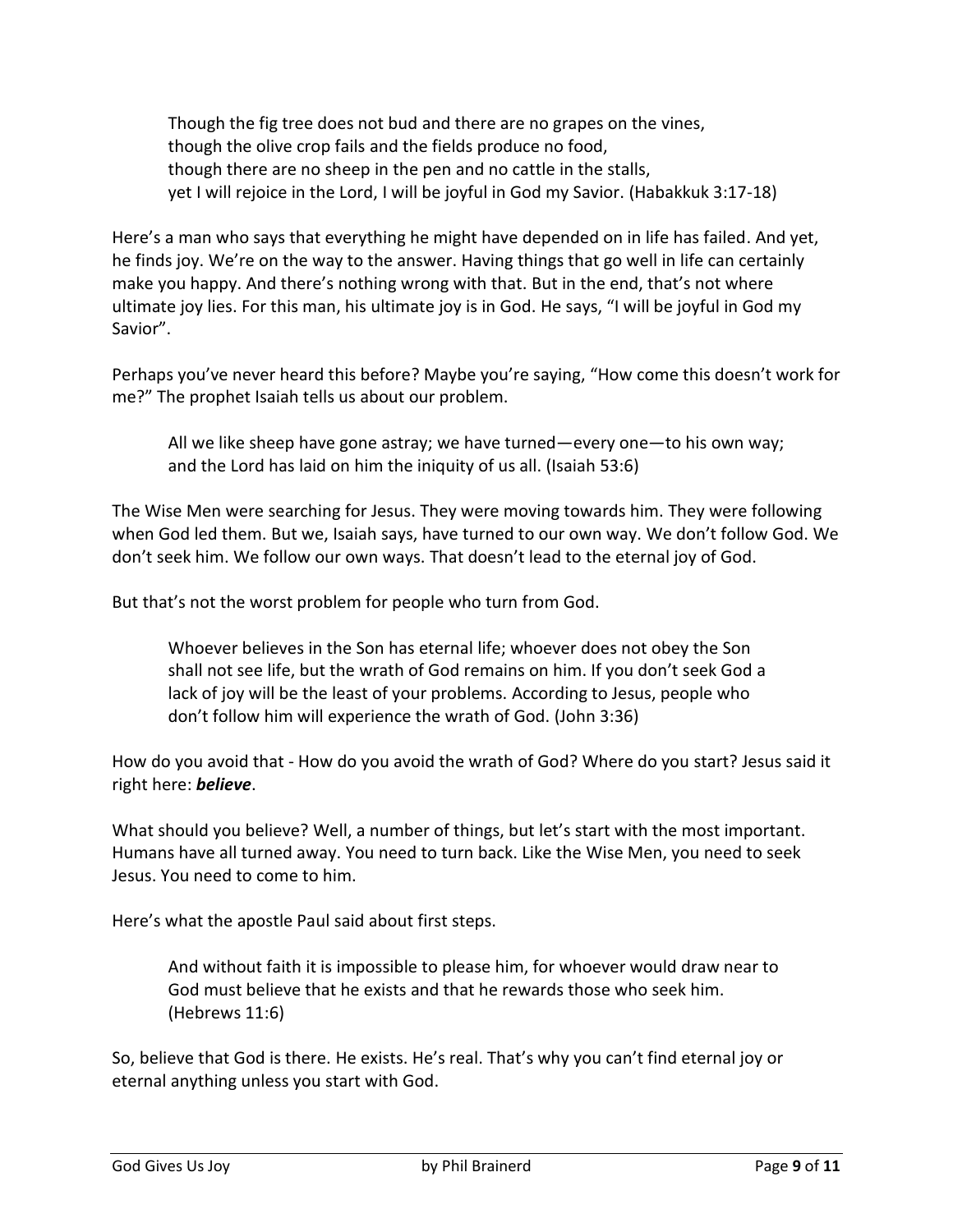Though the fig tree does not bud and there are no grapes on the vines, though the olive crop fails and the fields produce no food, though there are no sheep in the pen and no cattle in the stalls, yet I will rejoice in the Lord, I will be joyful in God my Savior. (Habakkuk 3:17-18)

Here's a man who says that everything he might have depended on in life has failed. And yet, he finds joy. We're on the way to the answer. Having things that go well in life can certainly make you happy. And there's nothing wrong with that. But in the end, that's not where ultimate joy lies. For this man, his ultimate joy is in God. He says, "I will be joyful in God my Savior".

Perhaps you've never heard this before? Maybe you're saying, "How come this doesn't work for me?" The prophet Isaiah tells us about our problem.

All we like sheep have gone astray; we have turned—every one—to his own way; and the Lord has laid on him the iniquity of us all. (Isaiah 53:6)

The Wise Men were searching for Jesus. They were moving towards him. They were following when God led them. But we, Isaiah says, have turned to our own way. We don't follow God. We don't seek him. We follow our own ways. That doesn't lead to the eternal joy of God.

But that's not the worst problem for people who turn from God.

Whoever believes in the Son has eternal life; whoever does not obey the Son shall not see life, but the wrath of God remains on him. If you don't seek God a lack of joy will be the least of your problems. According to Jesus, people who don't follow him will experience the wrath of God. (John 3:36)

How do you avoid that - How do you avoid the wrath of God? Where do you start? Jesus said it right here: *believe*.

What should you believe? Well, a number of things, but let's start with the most important. Humans have all turned away. You need to turn back. Like the Wise Men, you need to seek Jesus. You need to come to him.

Here's what the apostle Paul said about first steps.

And without faith it is impossible to please him, for whoever would draw near to God must believe that he exists and that he rewards those who seek him. (Hebrews 11:6)

So, believe that God is there. He exists. He's real. That's why you can't find eternal joy or eternal anything unless you start with God.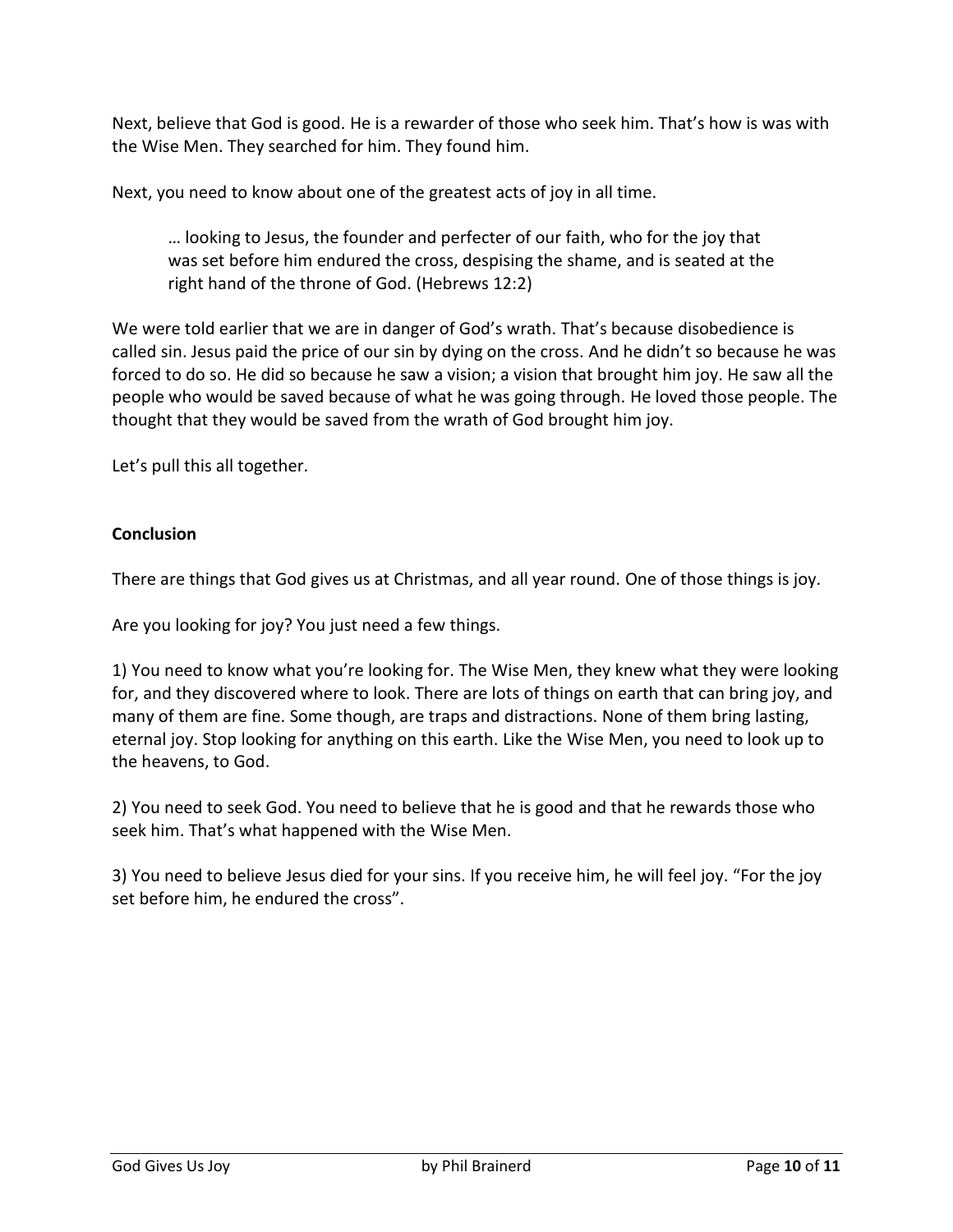Next, believe that God is good. He is a rewarder of those who seek him. That's how is was with the Wise Men. They searched for him. They found him.

Next, you need to know about one of the greatest acts of joy in all time.

… looking to Jesus, the founder and perfecter of our faith, who for the joy that was set before him endured the cross, despising the shame, and is seated at the right hand of the throne of God. (Hebrews 12:2)

We were told earlier that we are in danger of God's wrath. That's because disobedience is called sin. Jesus paid the price of our sin by dying on the cross. And he didn't so because he was forced to do so. He did so because he saw a vision; a vision that brought him joy. He saw all the people who would be saved because of what he was going through. He loved those people. The thought that they would be saved from the wrath of God brought him joy.

Let's pull this all together.

## **Conclusion**

There are things that God gives us at Christmas, and all year round. One of those things is joy.

Are you looking for joy? You just need a few things.

1) You need to know what you're looking for. The Wise Men, they knew what they were looking for, and they discovered where to look. There are lots of things on earth that can bring joy, and many of them are fine. Some though, are traps and distractions. None of them bring lasting, eternal joy. Stop looking for anything on this earth. Like the Wise Men, you need to look up to the heavens, to God.

2) You need to seek God. You need to believe that he is good and that he rewards those who seek him. That's what happened with the Wise Men.

3) You need to believe Jesus died for your sins. If you receive him, he will feel joy. "For the joy set before him, he endured the cross".